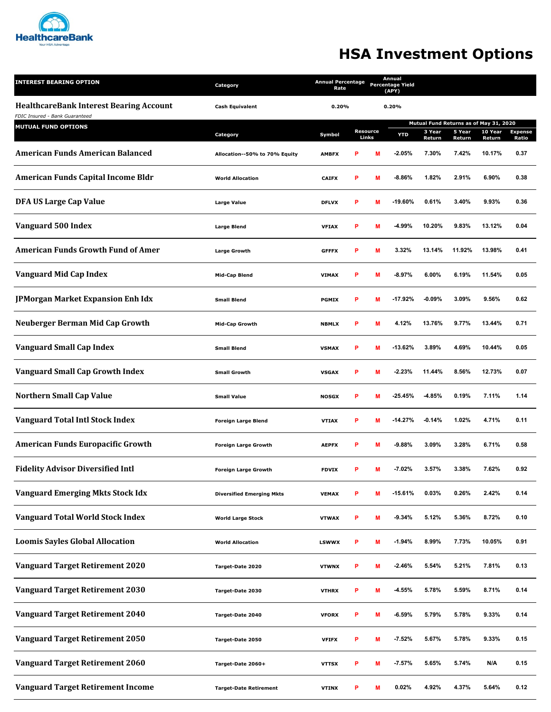

## **HSA Investment Options**

| <b>INTEREST BEARING OPTION</b>                                                                                 | Category<br><b>Cash Equivalent</b> | <b>Annual Percentage</b><br>Rate |   | Annual<br><b>Percentage Yield</b><br>(APY) |            |                                        |                  |                   |                         |
|----------------------------------------------------------------------------------------------------------------|------------------------------------|----------------------------------|---|--------------------------------------------|------------|----------------------------------------|------------------|-------------------|-------------------------|
| <b>HealthcareBank Interest Bearing Account</b><br>FDIC Insured - Bank Guaranteed<br><b>MUTUAL FUND OPTIONS</b> |                                    | 0.20%                            |   |                                            | 0.20%      |                                        |                  |                   |                         |
|                                                                                                                |                                    |                                  |   |                                            |            | Mutual Fund Returns as of May 31, 2020 |                  |                   |                         |
|                                                                                                                | Category                           | Symbol                           |   | <b>Resource</b><br>Links                   | <b>YTD</b> | 3 Year<br>Return                       | 5 Year<br>Return | 10 Year<br>Return | <b>Expense</b><br>Ratio |
| <b>American Funds American Balanced</b>                                                                        | Allocation--50% to 70% Equity      | <b>AMBFX</b>                     | P | М                                          | $-2.05%$   | 7.30%                                  | 7.42%            | 10.17%            | 0.37                    |
| <b>American Funds Capital Income Bldr</b>                                                                      | <b>World Allocation</b>            | <b>CAIFX</b>                     | P | M                                          | $-8.86%$   | 1.82%                                  | 2.91%            | 6.90%             | 0.38                    |
| DFA US Large Cap Value                                                                                         | Large Value                        | <b>DFLVX</b>                     | P | M                                          | $-19.60%$  | 0.61%                                  | 3.40%            | 9.93%             | 0.36                    |
| Vanguard 500 Index                                                                                             | <b>Large Blend</b>                 | <b>VFIAX</b>                     | P | M                                          | $-4.99%$   | 10.20%                                 | 9.83%            | 13.12%            | 0.04                    |
| <b>American Funds Growth Fund of Amer</b>                                                                      | <b>Large Growth</b>                | <b>GFFFX</b>                     | P | M                                          | 3.32%      | 13.14%                                 | 11.92%           | 13.98%            | 0.41                    |
| Vanguard Mid Cap Index                                                                                         | <b>Mid-Cap Blend</b>               | <b>VIMAX</b>                     | P | M                                          | $-8.97%$   | 6.00%                                  | 6.19%            | 11.54%            | 0.05                    |
| <b>JPMorgan Market Expansion Enh Idx</b>                                                                       | <b>Small Blend</b>                 | <b>PGMIX</b>                     | P | M                                          | $-17.92%$  | $-0.09%$                               | 3.09%            | 9.56%             | 0.62                    |
| <b>Neuberger Berman Mid Cap Growth</b>                                                                         | <b>Mid-Cap Growth</b>              | <b>NBMLX</b>                     | P | M                                          | 4.12%      | 13.76%                                 | 9.77%            | 13.44%            | 0.71                    |
| <b>Vanguard Small Cap Index</b>                                                                                | <b>Small Blend</b>                 | <b>VSMAX</b>                     | P | M                                          | $-13.62%$  | 3.89%                                  | 4.69%            | 10.44%            | 0.05                    |
| <b>Vanguard Small Cap Growth Index</b>                                                                         | <b>Small Growth</b>                | <b>VSGAX</b>                     | P | M                                          | $-2.23%$   | 11.44%                                 | 8.56%            | 12.73%            | 0.07                    |
| <b>Northern Small Cap Value</b>                                                                                | <b>Small Value</b>                 | <b>NOSGX</b>                     | P | M                                          | $-25.45%$  | $-4.85%$                               | 0.19%            | 7.11%             | 1.14                    |
| <b>Vanguard Total Intl Stock Index</b>                                                                         | <b>Foreign Large Blend</b>         | <b>VTIAX</b>                     | P | М                                          | $-14.27%$  | $-0.14%$                               | 1.02%            | 4.71%             | 0.11                    |
| <b>American Funds Europacific Growth</b>                                                                       | <b>Foreign Large Growth</b>        | <b>AEPFX</b>                     | P | M                                          | $-9.88%$   | 3.09%                                  | 3.28%            | 6.71%             | 0.58                    |
| <b>Fidelity Advisor Diversified Intl</b>                                                                       | <b>Foreign Large Growth</b>        | <b>FDVIX</b>                     | P | M                                          | $-7.02%$   | 3.57%                                  | 3.38%            | 7.62%             | 0.92                    |
| <b>Vanguard Emerging Mkts Stock Idx</b>                                                                        | <b>Diversified Emerging Mkts</b>   | <b>VEMAX</b>                     | P | М                                          | $-15.61%$  | 0.03%                                  | 0.26%            | 2.42%             | 0.14                    |
| <b>Vanguard Total World Stock Index</b>                                                                        | <b>World Large Stock</b>           | <b>VTWAX</b>                     | P | M                                          | $-9.34%$   | 5.12%                                  | 5.36%            | 8.72%             | 0.10                    |
| <b>Loomis Sayles Global Allocation</b>                                                                         | <b>World Allocation</b>            | <b>LSWWX</b>                     | P | M                                          | $-1.94%$   | 8.99%                                  | 7.73%            | 10.05%            | 0.91                    |
| <b>Vanguard Target Retirement 2020</b>                                                                         | Target-Date 2020                   | <b>VTWNX</b>                     | P | М                                          | $-2.46%$   | 5.54%                                  | 5.21%            | 7.81%             | 0.13                    |
| <b>Vanguard Target Retirement 2030</b>                                                                         | Target-Date 2030                   | <b>VTHRX</b>                     | P | M                                          | $-4.55%$   | 5.78%                                  | 5.59%            | 8.71%             | 0.14                    |
| <b>Vanguard Target Retirement 2040</b>                                                                         | Target-Date 2040                   | <b>VFORX</b>                     | P | M                                          | $-6.59%$   | 5.79%                                  | 5.78%            | 9.33%             | 0.14                    |
| <b>Vanguard Target Retirement 2050</b>                                                                         | Target-Date 2050                   | <b>VFIFX</b>                     | P | M                                          | $-7.52%$   | 5.67%                                  | 5.78%            | 9.33%             | 0.15                    |
| <b>Vanguard Target Retirement 2060</b>                                                                         | Target-Date 2060+                  | <b>VTTSX</b>                     | P | M                                          | $-7.57%$   | 5.65%                                  | 5.74%            | N/A               | 0.15                    |
| <b>Vanguard Target Retirement Income</b>                                                                       | <b>Target-Date Retirement</b>      | <b>VTINX</b>                     | P | M                                          | 0.02%      | 4.92%                                  | 4.37%            | 5.64%             | 0.12                    |